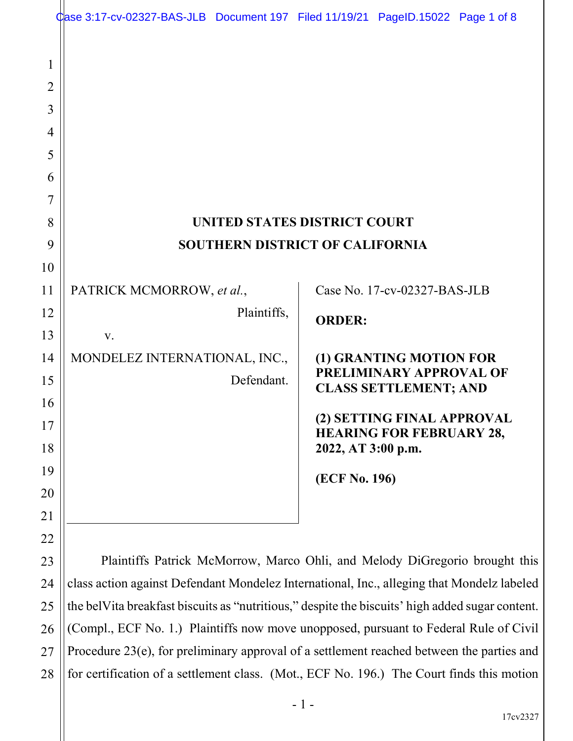|                                                        | Case 3:17-cv-02327-BAS-JLB Document 197 Filed 11/19/21 PageID.15022 Page 1 of 8                 |             |                                                                               |                                                    |  |
|--------------------------------------------------------|-------------------------------------------------------------------------------------------------|-------------|-------------------------------------------------------------------------------|----------------------------------------------------|--|
| 1<br>$\overline{2}$<br>3<br>4<br>5<br>6<br>7<br>8<br>9 |                                                                                                 |             | <b>UNITED STATES DISTRICT COURT</b><br><b>SOUTHERN DISTRICT OF CALIFORNIA</b> |                                                    |  |
| 10                                                     |                                                                                                 |             |                                                                               |                                                    |  |
| 11                                                     | PATRICK MCMORROW, et al.,                                                                       |             |                                                                               | Case No. 17-cv-02327-BAS-JLB                       |  |
| 12                                                     |                                                                                                 | Plaintiffs, | <b>ORDER:</b>                                                                 |                                                    |  |
| 13                                                     | V.                                                                                              |             |                                                                               |                                                    |  |
| 14                                                     | MONDELEZ INTERNATIONAL, INC.,                                                                   |             |                                                                               | (1) GRANTING MOTION FOR<br>PRELIMINARY APPROVAL OF |  |
| 15                                                     |                                                                                                 | Defendant.  |                                                                               | <b>CLASS SETTLEMENT; AND</b>                       |  |
| 16                                                     |                                                                                                 |             |                                                                               | (2) SETTING FINAL APPROVAL                         |  |
| 17                                                     |                                                                                                 |             |                                                                               | <b>HEARING FOR FEBRUARY 28,</b>                    |  |
| 18                                                     |                                                                                                 |             | 2022, AT 3:00 p.m.                                                            |                                                    |  |
| 19                                                     |                                                                                                 |             | (ECF No. 196)                                                                 |                                                    |  |
| 20                                                     |                                                                                                 |             |                                                                               |                                                    |  |
| 21                                                     |                                                                                                 |             |                                                                               |                                                    |  |
| 22                                                     |                                                                                                 |             |                                                                               |                                                    |  |
| 23                                                     | Plaintiffs Patrick McMorrow, Marco Ohli, and Melody DiGregorio brought this                     |             |                                                                               |                                                    |  |
| 24                                                     | class action against Defendant Mondelez International, Inc., alleging that Mondelz labeled      |             |                                                                               |                                                    |  |
| 25                                                     | the belVita breakfast biscuits as "nutritious," despite the biscuits' high added sugar content. |             |                                                                               |                                                    |  |
| 26                                                     | (Compl., ECF No. 1.) Plaintiffs now move unopposed, pursuant to Federal Rule of Civil           |             |                                                                               |                                                    |  |
| 27                                                     | Procedure 23(e), for preliminary approval of a settlement reached between the parties and       |             |                                                                               |                                                    |  |

17cv2327

for certification of a settlement class. (Mot., ECF No. 196.) The Court finds this motion

28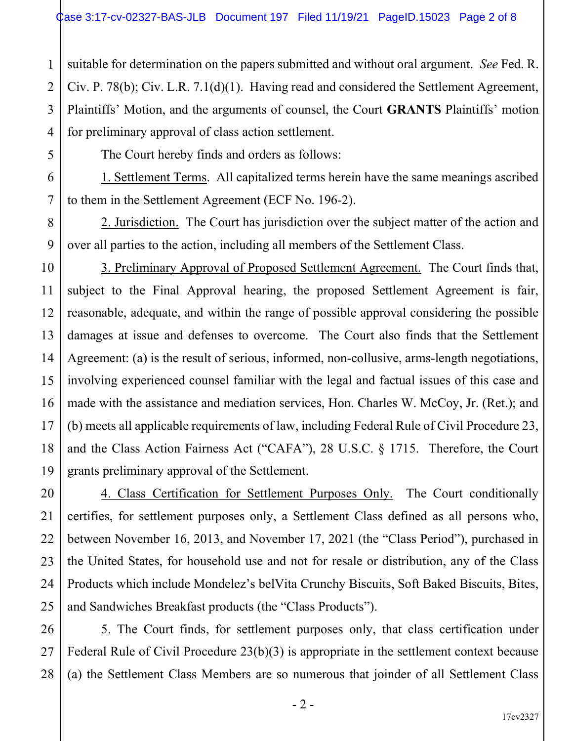2 3 4 suitable for determination on the papers submitted and without oral argument. See Fed. R. Civ. P. 78(b); Civ. L.R. 7.1(d)(1). Having read and considered the Settlement Agreement, Plaintiffs' Motion, and the arguments of counsel, the Court GRANTS Plaintiffs' motion for preliminary approval of class action settlement.

1

5

6

7

8

9

10

11

12

13

14

15

16

17

18

19

21

22

23

25

27

The Court hereby finds and orders as follows:

1. Settlement Terms. All capitalized terms herein have the same meanings ascribed to them in the Settlement Agreement (ECF No. 196-2).

2. Jurisdiction. The Court has jurisdiction over the subject matter of the action and over all parties to the action, including all members of the Settlement Class.

3. Preliminary Approval of Proposed Settlement Agreement. The Court finds that, subject to the Final Approval hearing, the proposed Settlement Agreement is fair, reasonable, adequate, and within the range of possible approval considering the possible damages at issue and defenses to overcome. The Court also finds that the Settlement Agreement: (a) is the result of serious, informed, non-collusive, arms-length negotiations, involving experienced counsel familiar with the legal and factual issues of this case and made with the assistance and mediation services, Hon. Charles W. McCoy, Jr. (Ret.); and (b) meets all applicable requirements of law, including Federal Rule of Civil Procedure 23, and the Class Action Fairness Act ("CAFA"), 28 U.S.C. § 1715. Therefore, the Court grants preliminary approval of the Settlement.

20 24 4. Class Certification for Settlement Purposes Only. The Court conditionally certifies, for settlement purposes only, a Settlement Class defined as all persons who, between November 16, 2013, and November 17, 2021 (the "Class Period"), purchased in the United States, for household use and not for resale or distribution, any of the Class Products which include Mondelez's belVita Crunchy Biscuits, Soft Baked Biscuits, Bites, and Sandwiches Breakfast products (the "Class Products").

26 28 5. The Court finds, for settlement purposes only, that class certification under Federal Rule of Civil Procedure 23(b)(3) is appropriate in the settlement context because (a) the Settlement Class Members are so numerous that joinder of all Settlement Class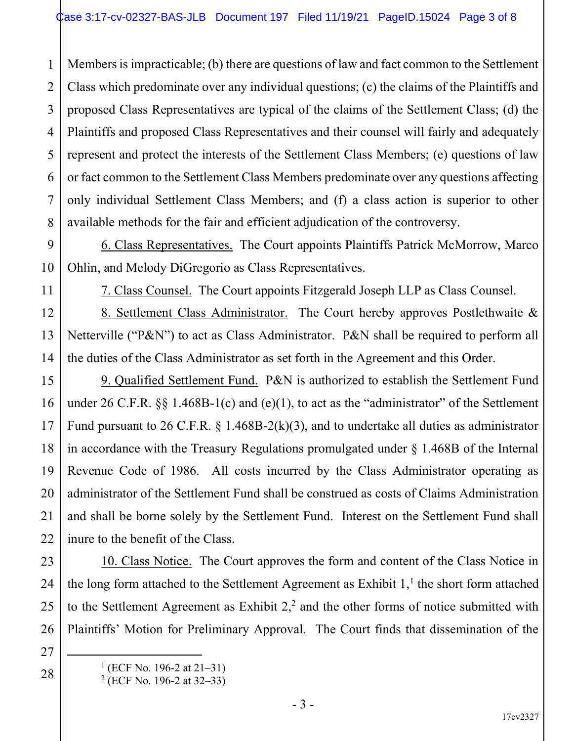1 2 3 4 5 6 7 8 Members is impracticable; (b) there are questions of law and fact common to the Settlement Class which predominate over any individual questions; (c) the claims of the Plaintiffs and proposed Class Representatives are typical of the claims of the Settlement Class; (d) the Plaintiffs and proposed Class Representatives and their counsel will fairly and adequately represent and protect the interests of the Settlement Class Members; (e) questions of law or fact common to the Settlement Class Members predominate over any questions affecting only individual Settlement Class Members; and (f) a class action is superior to other available methods for the fair and efficient adjudication of the controversy.

6. Class Representatives. The Court appoints Plaintiffs Patrick McMorrow, Marco Ohlin, and Melody DiGregorio as Class Representatives.

7. Class Counsel. The Court appoints Fitzgerald Joseph LLP as Class Counsel.

8. Settlement Class Administrator. The Court hereby approves Postlethwaite & Netterville ("P&N") to act as Class Administrator. P&N shall be required to perform all the duties of the Class Administrator as set forth in the Agreement and this Order.

9. Qualified Settlement Fund. P&N is authorized to establish the Settlement Fund under 26 C.F.R.  $\S$ § 1.468B-1(c) and (e)(1), to act as the "administrator" of the Settlement Fund pursuant to 26 C.F.R.  $\S$  1.468B-2(k)(3), and to undertake all duties as administrator in accordance with the Treasury Regulations promulgated under  $\S$  1.468B of the Internal Revenue Code of 1986. All costs incurred by the Class Administrator operating as administrator of the Settlement Fund shall be construed as costs of Claims Administration and shall be borne solely by the Settlement Fund. Interest on the Settlement Fund shall inure to the benefit of the Class.

24 26 10. Class Notice. The Court approves the form and content of the Class Notice in the long form attached to the Settlement Agreement as Exhibit  $1$ ,<sup>1</sup> the short form attached to the Settlement Agreement as Exhibit  $2<sup>2</sup>$  and the other forms of notice submitted with Plaintiffs' Motion for Preliminary Approval. The Court finds that dissemination of the

 $<sup>1</sup>$  (ECF No. 196-2 at 21–31)</sup>

9

10

11

12

13

14

15

16

17

18

19

20

21

22

23

25

27

28

2 (ECF No. 196-2 at 32–33)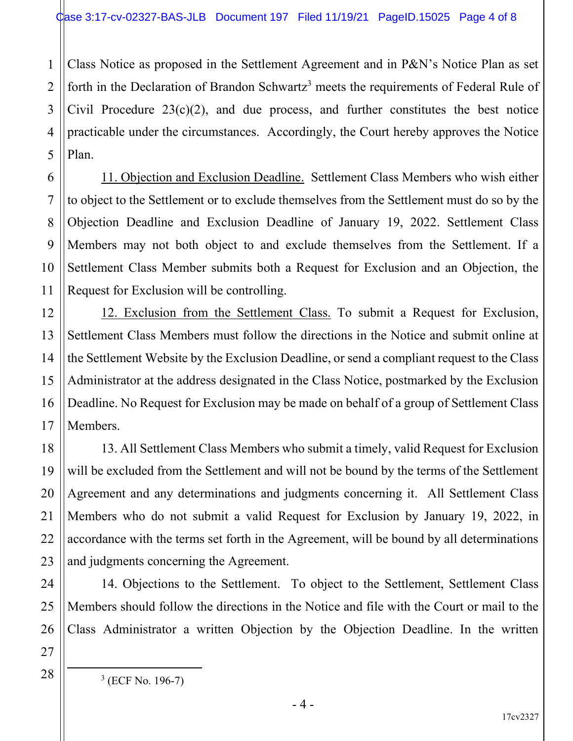4 Class Notice as proposed in the Settlement Agreement and in P&N's Notice Plan as set forth in the Declaration of Brandon Schwartz<sup>3</sup> meets the requirements of Federal Rule of Civil Procedure  $23(c)(2)$ , and due process, and further constitutes the best notice practicable under the circumstances. Accordingly, the Court hereby approves the Notice Plan.

11. Objection and Exclusion Deadline. Settlement Class Members who wish either to object to the Settlement or to exclude themselves from the Settlement must do so by the Objection Deadline and Exclusion Deadline of January 19, 2022. Settlement Class Members may not both object to and exclude themselves from the Settlement. If a Settlement Class Member submits both a Request for Exclusion and an Objection, the Request for Exclusion will be controlling.

12. Exclusion from the Settlement Class. To submit a Request for Exclusion, Settlement Class Members must follow the directions in the Notice and submit online at the Settlement Website by the Exclusion Deadline, or send a compliant request to the Class Administrator at the address designated in the Class Notice, postmarked by the Exclusion Deadline. No Request for Exclusion may be made on behalf of a group of Settlement Class Members.

13. All Settlement Class Members who submit a timely, valid Request for Exclusion will be excluded from the Settlement and will not be bound by the terms of the Settlement Agreement and any determinations and judgments concerning it. All Settlement Class Members who do not submit a valid Request for Exclusion by January 19, 2022, in accordance with the terms set forth in the Agreement, will be bound by all determinations and judgments concerning the Agreement.

14. Objections to the Settlement. To object to the Settlement, Settlement Class Members should follow the directions in the Notice and file with the Court or mail to the Class Administrator a written Objection by the Objection Deadline. In the written

1

2

3

5

6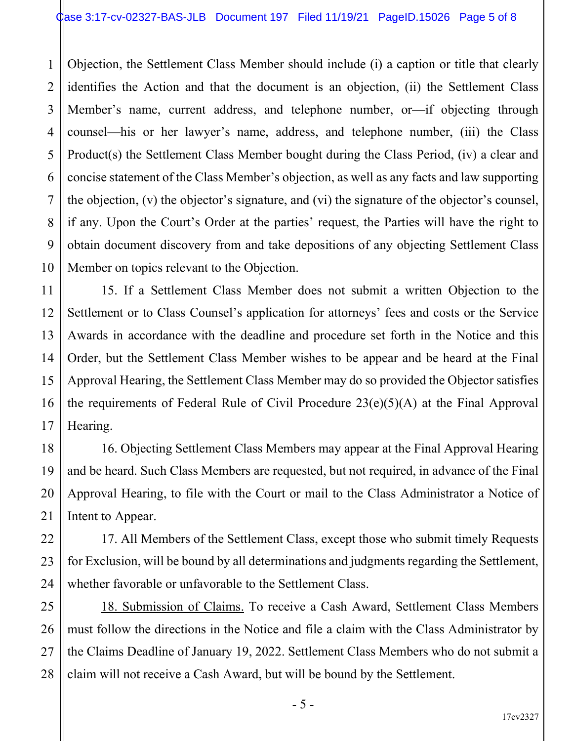1 2 3 4 5 Objection, the Settlement Class Member should include (i) a caption or title that clearly identifies the Action and that the document is an objection, (ii) the Settlement Class Member's name, current address, and telephone number, or—if objecting through counsel—his or her lawyer's name, address, and telephone number, (iii) the Class Product(s) the Settlement Class Member bought during the Class Period, (iv) a clear and concise statement of the Class Member's objection, as well as any facts and law supporting the objection, (v) the objector's signature, and (vi) the signature of the objector's counsel, if any. Upon the Court's Order at the parties' request, the Parties will have the right to obtain document discovery from and take depositions of any objecting Settlement Class Member on topics relevant to the Objection.

15. If a Settlement Class Member does not submit a written Objection to the Settlement or to Class Counsel's application for attorneys' fees and costs or the Service Awards in accordance with the deadline and procedure set forth in the Notice and this Order, but the Settlement Class Member wishes to be appear and be heard at the Final Approval Hearing, the Settlement Class Member may do so provided the Objector satisfies the requirements of Federal Rule of Civil Procedure 23(e)(5)(A) at the Final Approval Hearing.

16. Objecting Settlement Class Members may appear at the Final Approval Hearing and be heard. Such Class Members are requested, but not required, in advance of the Final Approval Hearing, to file with the Court or mail to the Class Administrator a Notice of Intent to Appear.

17. All Members of the Settlement Class, except those who submit timely Requests for Exclusion, will be bound by all determinations and judgments regarding the Settlement, whether favorable or unfavorable to the Settlement Class.

18. Submission of Claims. To receive a Cash Award, Settlement Class Members must follow the directions in the Notice and file a claim with the Class Administrator by the Claims Deadline of January 19, 2022. Settlement Class Members who do not submit a claim will not receive a Cash Award, but will be bound by the Settlement.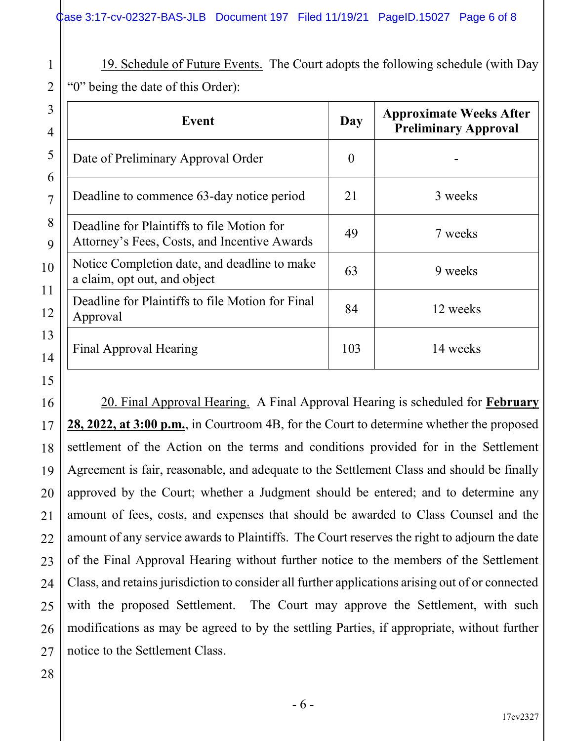19. Schedule of Future Events. The Court adopts the following schedule (with Day "0" being the date of this Order):

| $\overline{3}$<br>4            | Event                                                                                      | Day      | <b>Approximate Weeks After</b><br><b>Preliminary Approval</b> |  |
|--------------------------------|--------------------------------------------------------------------------------------------|----------|---------------------------------------------------------------|--|
| 5                              | Date of Preliminary Approval Order                                                         | $\theta$ |                                                               |  |
| 6<br>7                         | Deadline to commence 63-day notice period                                                  | 21       | 3 weeks                                                       |  |
| 8<br>9                         | Deadline for Plaintiffs to file Motion for<br>Attorney's Fees, Costs, and Incentive Awards | 49       | 7 weeks                                                       |  |
| $\mathbf{0}$                   | Notice Completion date, and deadline to make<br>a claim, opt out, and object               | 63       | 9 weeks                                                       |  |
| $\mathbf{1}$<br>$\overline{2}$ | Deadline for Plaintiffs to file Motion for Final<br>Approval                               |          | 12 weeks                                                      |  |
| 3<br>4                         | Final Approval Hearing                                                                     | 103      | 14 weeks                                                      |  |

1

2

 20. Final Approval Hearing. A Final Approval Hearing is scheduled for February 28, 2022, at 3:00 p.m., in Courtroom 4B, for the Court to determine whether the proposed settlement of the Action on the terms and conditions provided for in the Settlement Agreement is fair, reasonable, and adequate to the Settlement Class and should be finally approved by the Court; whether a Judgment should be entered; and to determine any amount of fees, costs, and expenses that should be awarded to Class Counsel and the amount of any service awards to Plaintiffs. The Court reserves the right to adjourn the date of the Final Approval Hearing without further notice to the members of the Settlement Class, and retains jurisdiction to consider all further applications arising out of or connected with the proposed Settlement. The Court may approve the Settlement, with such modifications as may be agreed to by the settling Parties, if appropriate, without further notice to the Settlement Class.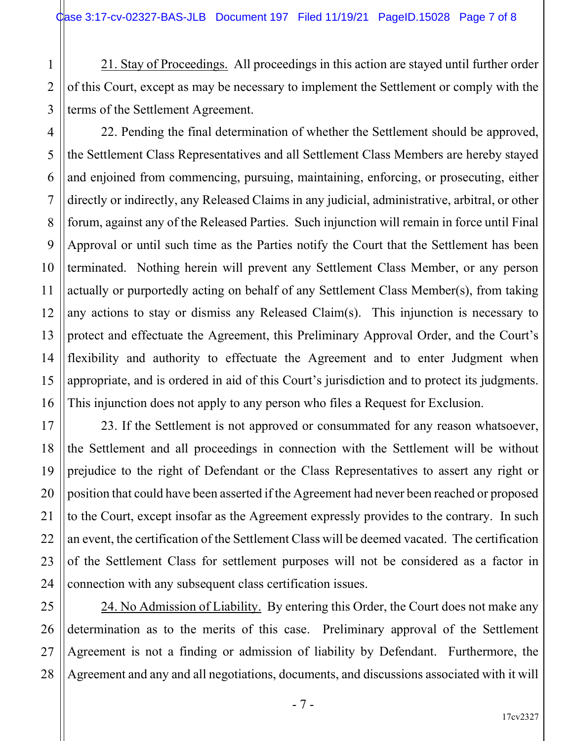1

2

3

4

5

6

7

8

9

10

11

12

13

14

15

16

17

18

19

20

21

22

23

24

 21. Stay of Proceedings. All proceedings in this action are stayed until further order of this Court, except as may be necessary to implement the Settlement or comply with the terms of the Settlement Agreement.

 22. Pending the final determination of whether the Settlement should be approved, the Settlement Class Representatives and all Settlement Class Members are hereby stayed and enjoined from commencing, pursuing, maintaining, enforcing, or prosecuting, either directly or indirectly, any Released Claims in any judicial, administrative, arbitral, or other forum, against any of the Released Parties. Such injunction will remain in force until Final Approval or until such time as the Parties notify the Court that the Settlement has been terminated. Nothing herein will prevent any Settlement Class Member, or any person actually or purportedly acting on behalf of any Settlement Class Member(s), from taking any actions to stay or dismiss any Released Claim(s). This injunction is necessary to protect and effectuate the Agreement, this Preliminary Approval Order, and the Court's flexibility and authority to effectuate the Agreement and to enter Judgment when appropriate, and is ordered in aid of this Court's jurisdiction and to protect its judgments. This injunction does not apply to any person who files a Request for Exclusion.

 23. If the Settlement is not approved or consummated for any reason whatsoever, the Settlement and all proceedings in connection with the Settlement will be without prejudice to the right of Defendant or the Class Representatives to assert any right or position that could have been asserted if the Agreement had never been reached or proposed to the Court, except insofar as the Agreement expressly provides to the contrary. In such an event, the certification of the Settlement Class will be deemed vacated. The certification of the Settlement Class for settlement purposes will not be considered as a factor in connection with any subsequent class certification issues.

25 26 27 28 24. No Admission of Liability. By entering this Order, the Court does not make any determination as to the merits of this case. Preliminary approval of the Settlement Agreement is not a finding or admission of liability by Defendant. Furthermore, the Agreement and any and all negotiations, documents, and discussions associated with it will